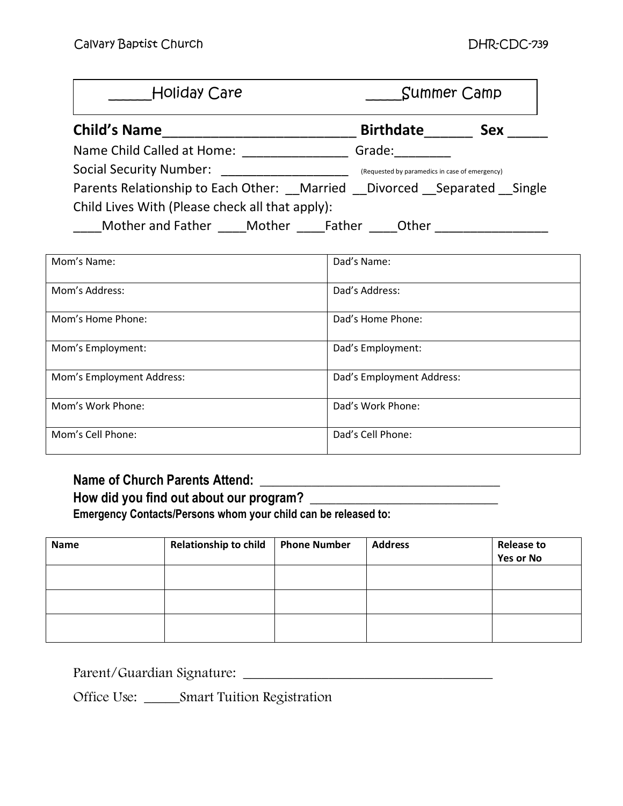| <b>Holiday Care</b>                                                   | Summer Camp                                    |            |  |
|-----------------------------------------------------------------------|------------------------------------------------|------------|--|
| <b>Child's Name</b>                                                   | <b>Birthdate</b>                               | <b>Sex</b> |  |
| Name Child Called at Home:                                            | Grade:                                         |            |  |
| <b>Social Security Number:</b>                                        | (Requested by paramedics in case of emergency) |            |  |
| Parents Relationship to Each Other: Married Divorced Separated Single |                                                |            |  |
| Child Lives With (Please check all that apply):                       |                                                |            |  |
| Mother and Father Mother<br>Father                                    | Other                                          |            |  |

| Mom's Name:               | Dad's Name:               |
|---------------------------|---------------------------|
| Mom's Address:            | Dad's Address:            |
| Mom's Home Phone:         | Dad's Home Phone:         |
| Mom's Employment:         | Dad's Employment:         |
| Mom's Employment Address: | Dad's Employment Address: |
| Mom's Work Phone:         | Dad's Work Phone:         |
| Mom's Cell Phone:         | Dad's Cell Phone:         |

## **Name of Church Parents Attend: \_\_\_\_\_\_\_\_\_\_\_\_\_\_\_\_\_\_\_\_\_\_\_\_\_\_\_\_\_\_\_\_\_\_\_\_\_**

**How did you find out about our program? \_\_\_\_\_\_\_\_\_\_\_\_\_\_\_\_\_\_\_\_\_\_\_\_\_\_\_\_\_**

**Emergency Contacts/Persons whom your child can be released to:**

| <b>Name</b> | <b>Relationship to child</b> | <b>Phone Number</b> | <b>Address</b> | <b>Release to</b><br><b>Yes or No</b> |
|-------------|------------------------------|---------------------|----------------|---------------------------------------|
|             |                              |                     |                |                                       |
|             |                              |                     |                |                                       |
|             |                              |                     |                |                                       |

## Parent/Guardian Signature: \_\_\_\_\_\_\_\_\_\_\_\_\_\_\_\_\_\_\_\_\_\_\_\_\_\_\_\_\_\_\_\_\_\_\_

Office Use: \_\_\_\_\_Smart Tuition Registration